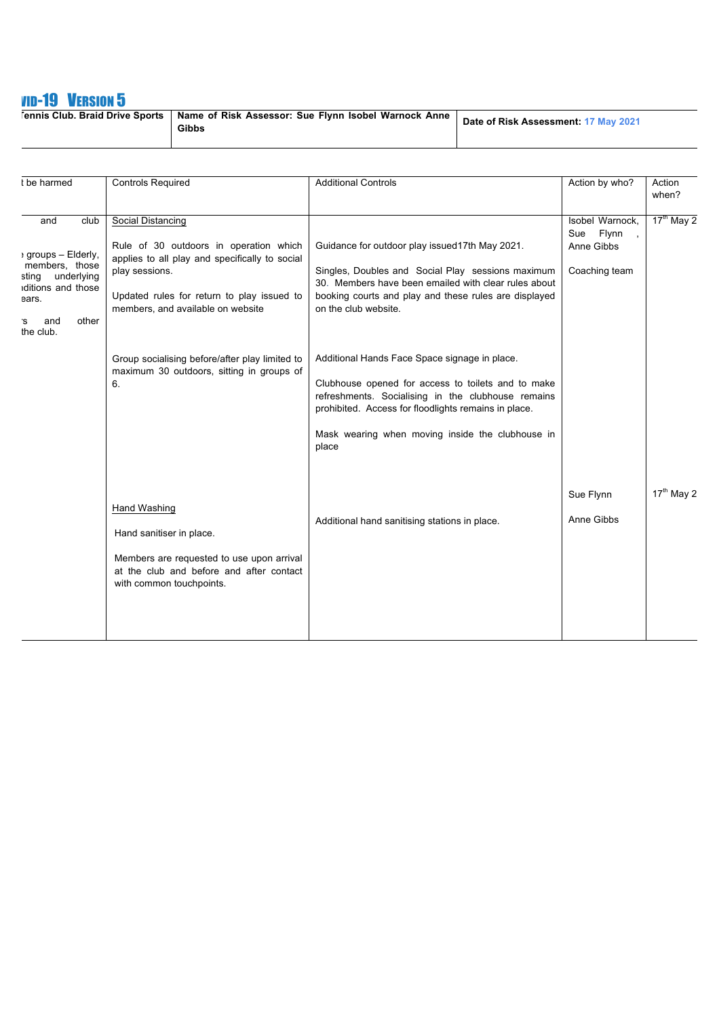## **VID-19 VERSION 5**

| <b>Tennis Club. Braid Drive Sports</b> | Name of Risk Assessor: Sue Flynn Isobel Warnock Anne<br>Gibbs | Date of Risk Assessment: 17 May 2021 |
|----------------------------------------|---------------------------------------------------------------|--------------------------------------|
|----------------------------------------|---------------------------------------------------------------|--------------------------------------|

| t be harmed                                                                                                                                   | <b>Controls Required</b>                                                                                                                                                                                                                                                                                                | <b>Additional Controls</b>                                                                                                                                                                                                                                                                                                                                                                                                                                                                                                     | Action by who?                                              | Action<br>when?        |
|-----------------------------------------------------------------------------------------------------------------------------------------------|-------------------------------------------------------------------------------------------------------------------------------------------------------------------------------------------------------------------------------------------------------------------------------------------------------------------------|--------------------------------------------------------------------------------------------------------------------------------------------------------------------------------------------------------------------------------------------------------------------------------------------------------------------------------------------------------------------------------------------------------------------------------------------------------------------------------------------------------------------------------|-------------------------------------------------------------|------------------------|
| and<br>club<br>: groups - Elderly,<br>members, those<br>underlying<br>sting<br>iditions and those<br>ears.<br>other<br>and<br>`S<br>the club. | Social Distancing<br>Rule of 30 outdoors in operation which<br>applies to all play and specifically to social<br>play sessions.<br>Updated rules for return to play issued to<br>members, and available on website<br>Group socialising before/after play limited to<br>maximum 30 outdoors, sitting in groups of<br>6. | Guidance for outdoor play issued17th May 2021.<br>Singles, Doubles and Social Play sessions maximum<br>30. Members have been emailed with clear rules about<br>booking courts and play and these rules are displayed<br>on the club website.<br>Additional Hands Face Space signage in place.<br>Clubhouse opened for access to toilets and to make<br>refreshments. Socialising in the clubhouse remains<br>prohibited. Access for floodlights remains in place.<br>Mask wearing when moving inside the clubhouse in<br>place | Isobel Warnock,<br>Sue Flynn<br>Anne Gibbs<br>Coaching team | $17^{\text{th}}$ May 2 |
|                                                                                                                                               | <b>Hand Washing</b><br>Hand sanitiser in place.<br>Members are requested to use upon arrival<br>at the club and before and after contact<br>with common touchpoints.                                                                                                                                                    | Additional hand sanitising stations in place.                                                                                                                                                                                                                                                                                                                                                                                                                                                                                  | Sue Flynn<br>Anne Gibbs                                     | $17th$ May 2           |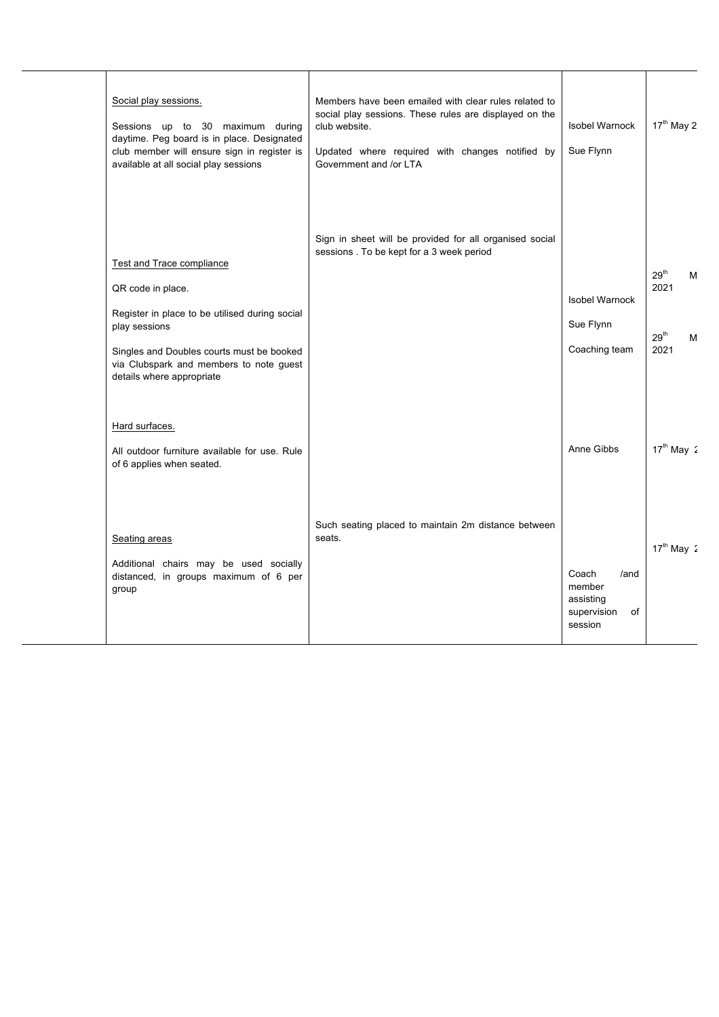| Social play sessions.<br>Sessions up to 30 maximum during<br>daytime. Peg board is in place. Designated<br>club member will ensure sign in register is<br>available at all social play sessions                                               | Members have been emailed with clear rules related to<br>social play sessions. These rules are displayed on the<br>club website.<br>Updated where required with changes notified by<br>Government and /or LTA | Isobel Warnock<br>Sue Flynn                                                        | 17 <sup>th</sup> May 2                                         |
|-----------------------------------------------------------------------------------------------------------------------------------------------------------------------------------------------------------------------------------------------|---------------------------------------------------------------------------------------------------------------------------------------------------------------------------------------------------------------|------------------------------------------------------------------------------------|----------------------------------------------------------------|
| <b>Test and Trace compliance</b><br>QR code in place.<br>Register in place to be utilised during social<br>play sessions<br>Singles and Doubles courts must be booked<br>via Clubspark and members to note guest<br>details where appropriate | Sign in sheet will be provided for all organised social<br>sessions . To be kept for a 3 week period                                                                                                          | <b>Isobel Warnock</b><br>Sue Flynn<br>Coaching team                                | $29^{\text{th}}$<br>М<br>2021<br>29 <sup>th</sup><br>М<br>2021 |
| Hard surfaces.<br>All outdoor furniture available for use. Rule<br>of 6 applies when seated.<br>Seating areas<br>Additional chairs may be used socially<br>distanced, in groups maximum of 6 per<br>group                                     | Such seating placed to maintain 2m distance between<br>seats.                                                                                                                                                 | Anne Gibbs<br>Coach<br>/and<br>member<br>assisting<br>supervision<br>of<br>session | $17th$ May 2<br>$17th$ May 2                                   |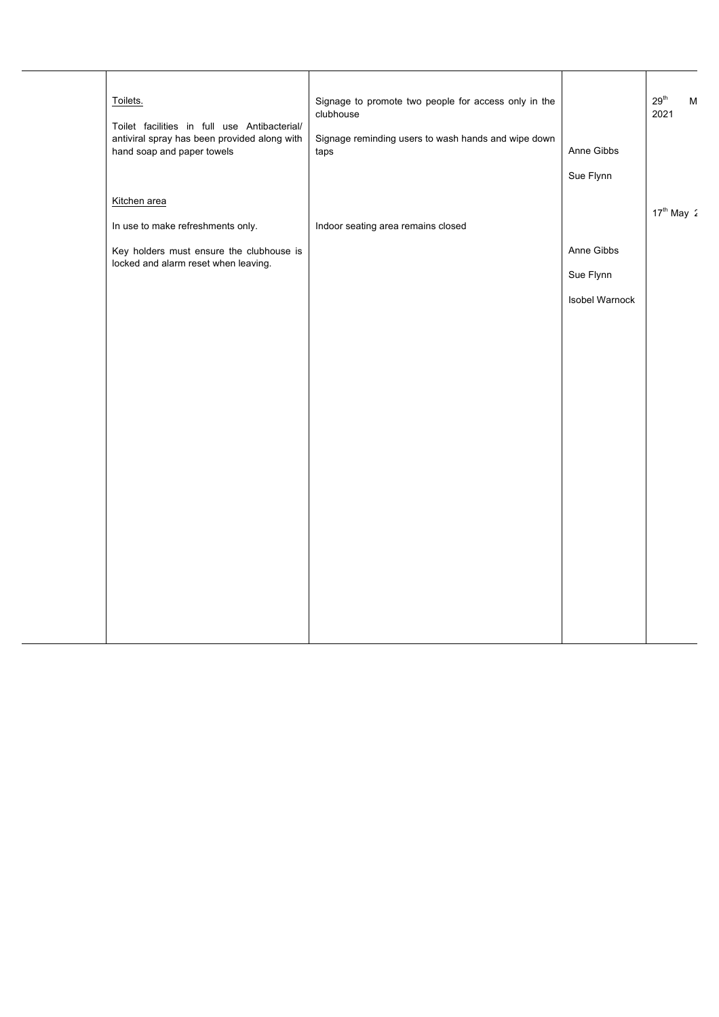|  | Toilets.                                                                                     | Signage to promote two people for access only in the<br>clubhouse |                | $29^{\text{th}}$<br>M<br>2021 |
|--|----------------------------------------------------------------------------------------------|-------------------------------------------------------------------|----------------|-------------------------------|
|  | Toilet facilities in full use Antibacterial/<br>antiviral spray has been provided along with | Signage reminding users to wash hands and wipe down               |                |                               |
|  | hand soap and paper towels                                                                   | taps                                                              | Anne Gibbs     |                               |
|  |                                                                                              |                                                                   | Sue Flynn      |                               |
|  | Kitchen area                                                                                 |                                                                   |                |                               |
|  | In use to make refreshments only.                                                            | Indoor seating area remains closed                                |                | $17th$ May $2$                |
|  | Key holders must ensure the clubhouse is<br>locked and alarm reset when leaving.             |                                                                   | Anne Gibbs     |                               |
|  |                                                                                              |                                                                   | Sue Flynn      |                               |
|  |                                                                                              |                                                                   | Isobel Warnock |                               |
|  |                                                                                              |                                                                   |                |                               |
|  |                                                                                              |                                                                   |                |                               |
|  |                                                                                              |                                                                   |                |                               |
|  |                                                                                              |                                                                   |                |                               |
|  |                                                                                              |                                                                   |                |                               |
|  |                                                                                              |                                                                   |                |                               |
|  |                                                                                              |                                                                   |                |                               |
|  |                                                                                              |                                                                   |                |                               |
|  |                                                                                              |                                                                   |                |                               |
|  |                                                                                              |                                                                   |                |                               |
|  |                                                                                              |                                                                   |                |                               |
|  |                                                                                              |                                                                   |                |                               |
|  |                                                                                              |                                                                   |                |                               |
|  |                                                                                              |                                                                   |                |                               |
|  |                                                                                              |                                                                   |                |                               |